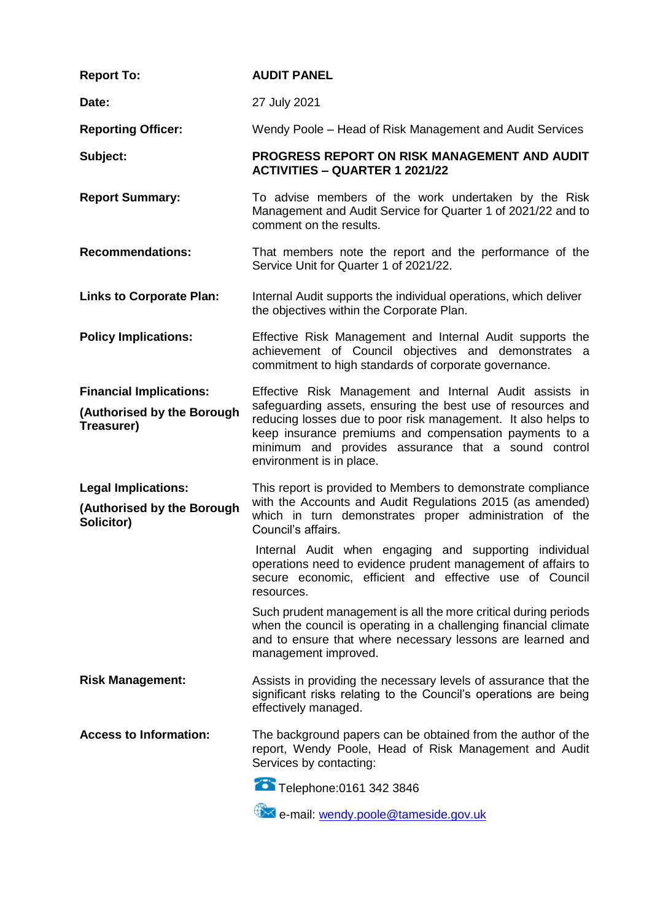| <b>Report To:</b>                                                          | <b>AUDIT PANEL</b>                                                                                                                                                                                                                                                                                                                   |
|----------------------------------------------------------------------------|--------------------------------------------------------------------------------------------------------------------------------------------------------------------------------------------------------------------------------------------------------------------------------------------------------------------------------------|
| Date:                                                                      | 27 July 2021                                                                                                                                                                                                                                                                                                                         |
| <b>Reporting Officer:</b>                                                  | Wendy Poole – Head of Risk Management and Audit Services                                                                                                                                                                                                                                                                             |
| Subject:                                                                   | PROGRESS REPORT ON RISK MANAGEMENT AND AUDIT<br><b>ACTIVITIES - QUARTER 1 2021/22</b>                                                                                                                                                                                                                                                |
| <b>Report Summary:</b>                                                     | To advise members of the work undertaken by the Risk<br>Management and Audit Service for Quarter 1 of 2021/22 and to<br>comment on the results.                                                                                                                                                                                      |
| <b>Recommendations:</b>                                                    | That members note the report and the performance of the<br>Service Unit for Quarter 1 of 2021/22.                                                                                                                                                                                                                                    |
| <b>Links to Corporate Plan:</b>                                            | Internal Audit supports the individual operations, which deliver<br>the objectives within the Corporate Plan.                                                                                                                                                                                                                        |
| <b>Policy Implications:</b>                                                | Effective Risk Management and Internal Audit supports the<br>achievement of Council objectives and demonstrates a<br>commitment to high standards of corporate governance.                                                                                                                                                           |
| <b>Financial Implications:</b><br>(Authorised by the Borough<br>Treasurer) | Effective Risk Management and Internal Audit assists in<br>safeguarding assets, ensuring the best use of resources and<br>reducing losses due to poor risk management. It also helps to<br>keep insurance premiums and compensation payments to a<br>minimum and provides assurance that a sound control<br>environment is in place. |
| <b>Legal Implications:</b><br>(Authorised by the Borough<br>Solicitor)     | This report is provided to Members to demonstrate compliance<br>with the Accounts and Audit Regulations 2015 (as amended)<br>which in turn demonstrates proper administration of the<br>Council's affairs.                                                                                                                           |
|                                                                            | Internal Audit when engaging and supporting individual<br>operations need to evidence prudent management of affairs to<br>secure economic, efficient and effective use of Council<br>resources.                                                                                                                                      |
|                                                                            | Such prudent management is all the more critical during periods<br>when the council is operating in a challenging financial climate<br>and to ensure that where necessary lessons are learned and<br>management improved.                                                                                                            |
| <b>Risk Management:</b>                                                    | Assists in providing the necessary levels of assurance that the<br>significant risks relating to the Council's operations are being<br>effectively managed.                                                                                                                                                                          |
| <b>Access to Information:</b>                                              | The background papers can be obtained from the author of the<br>report, Wendy Poole, Head of Risk Management and Audit<br>Services by contacting:                                                                                                                                                                                    |
|                                                                            | Telephone: 0161 342 3846                                                                                                                                                                                                                                                                                                             |
|                                                                            | e-mail: wendy.poole@tameside.gov.uk                                                                                                                                                                                                                                                                                                  |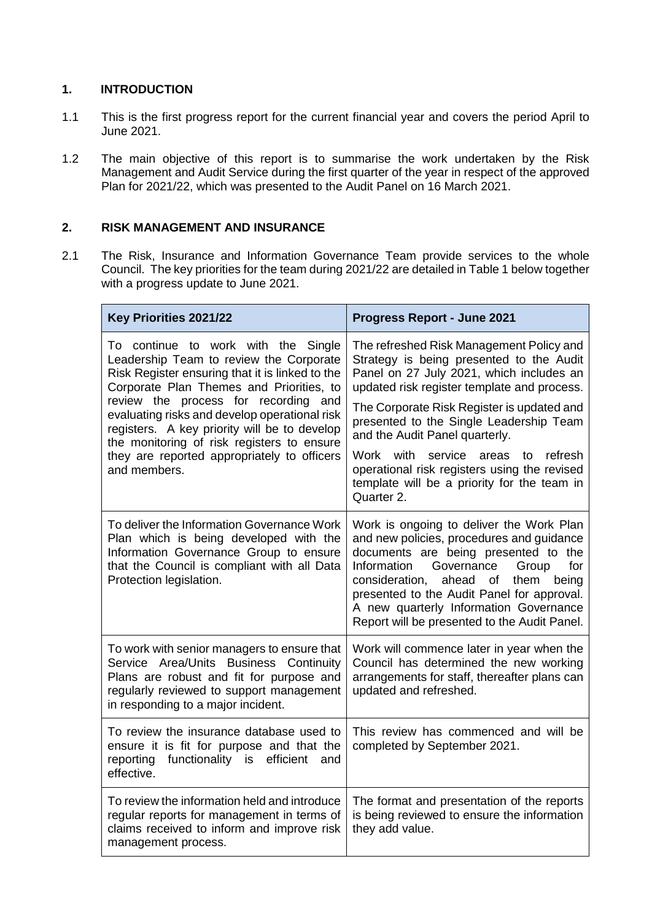# **1. INTRODUCTION**

- 1.1 This is the first progress report for the current financial year and covers the period April to June 2021.
- 1.2 The main objective of this report is to summarise the work undertaken by the Risk Management and Audit Service during the first quarter of the year in respect of the approved Plan for 2021/22, which was presented to the Audit Panel on 16 March 2021.

# **2. RISK MANAGEMENT AND INSURANCE**

2.1 The Risk, Insurance and Information Governance Team provide services to the whole Council. The key priorities for the team during 2021/22 are detailed in Table 1 below together with a progress update to June 2021.

| Key Priorities 2021/22                                                                                                                                                                                                                                                                                                                                                                                                                 | <b>Progress Report - June 2021</b>                                                                                                                                                                                                                                                                                                                                                                                                                                        |
|----------------------------------------------------------------------------------------------------------------------------------------------------------------------------------------------------------------------------------------------------------------------------------------------------------------------------------------------------------------------------------------------------------------------------------------|---------------------------------------------------------------------------------------------------------------------------------------------------------------------------------------------------------------------------------------------------------------------------------------------------------------------------------------------------------------------------------------------------------------------------------------------------------------------------|
| To continue to work with the<br>Single<br>Leadership Team to review the Corporate<br>Risk Register ensuring that it is linked to the<br>Corporate Plan Themes and Priorities, to<br>review the process for recording and<br>evaluating risks and develop operational risk<br>registers. A key priority will be to develop<br>the monitoring of risk registers to ensure<br>they are reported appropriately to officers<br>and members. | The refreshed Risk Management Policy and<br>Strategy is being presented to the Audit<br>Panel on 27 July 2021, which includes an<br>updated risk register template and process.<br>The Corporate Risk Register is updated and<br>presented to the Single Leadership Team<br>and the Audit Panel quarterly.<br>service<br>refresh<br>Work with<br>areas<br>to<br>operational risk registers using the revised<br>template will be a priority for the team in<br>Quarter 2. |
| To deliver the Information Governance Work<br>Plan which is being developed with the<br>Information Governance Group to ensure<br>that the Council is compliant with all Data<br>Protection legislation.                                                                                                                                                                                                                               | Work is ongoing to deliver the Work Plan<br>and new policies, procedures and guidance<br>documents are being presented to the<br>Information<br>Governance<br>Group<br>for<br>consideration,<br>ahead<br>being<br>of<br>them<br>presented to the Audit Panel for approval.<br>A new quarterly Information Governance<br>Report will be presented to the Audit Panel.                                                                                                      |
| To work with senior managers to ensure that<br>Service Area/Units Business Continuity<br>Plans are robust and fit for purpose and<br>regularly reviewed to support management<br>in responding to a major incident.                                                                                                                                                                                                                    | Work will commence later in year when the<br>Council has determined the new working<br>arrangements for staff, thereafter plans can<br>updated and refreshed.                                                                                                                                                                                                                                                                                                             |
| To review the insurance database used to<br>ensure it is fit for purpose and that the<br>reporting<br>functionality is efficient<br>and<br>effective.                                                                                                                                                                                                                                                                                  | This review has commenced and will be<br>completed by September 2021.                                                                                                                                                                                                                                                                                                                                                                                                     |
| To review the information held and introduce<br>regular reports for management in terms of<br>claims received to inform and improve risk<br>management process.                                                                                                                                                                                                                                                                        | The format and presentation of the reports<br>is being reviewed to ensure the information<br>they add value.                                                                                                                                                                                                                                                                                                                                                              |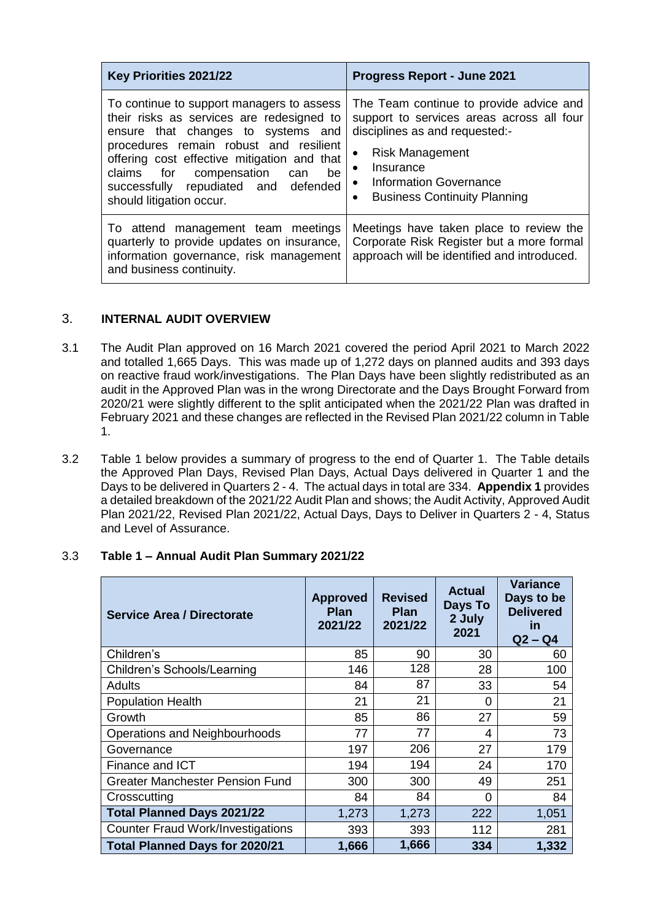| Key Priorities 2021/22                                                                                                                                                                                                                                                                                                         | <b>Progress Report - June 2021</b>                                                                                                                                                                                               |
|--------------------------------------------------------------------------------------------------------------------------------------------------------------------------------------------------------------------------------------------------------------------------------------------------------------------------------|----------------------------------------------------------------------------------------------------------------------------------------------------------------------------------------------------------------------------------|
| To continue to support managers to assess<br>their risks as services are redesigned to<br>ensure that changes to systems and<br>procedures remain robust and resilient<br>offering cost effective mitigation and that<br>claims for compensation can<br>be<br>successfully repudiated and defended<br>should litigation occur. | The Team continue to provide advice and<br>support to services areas across all four<br>disciplines as and requested:-<br><b>Risk Management</b><br>Insurance<br>• Information Governance<br><b>Business Continuity Planning</b> |
| To attend management team meetings<br>quarterly to provide updates on insurance,<br>information governance, risk management<br>and business continuity.                                                                                                                                                                        | Meetings have taken place to review the<br>Corporate Risk Register but a more formal<br>approach will be identified and introduced.                                                                                              |

# 3. **INTERNAL AUDIT OVERVIEW**

- 3.1 The Audit Plan approved on 16 March 2021 covered the period April 2021 to March 2022 and totalled 1,665 Days. This was made up of 1,272 days on planned audits and 393 days on reactive fraud work/investigations. The Plan Days have been slightly redistributed as an audit in the Approved Plan was in the wrong Directorate and the Days Brought Forward from 2020/21 were slightly different to the split anticipated when the 2021/22 Plan was drafted in February 2021 and these changes are reflected in the Revised Plan 2021/22 column in Table 1.
- 3.2 Table 1 below provides a summary of progress to the end of Quarter 1. The Table details the Approved Plan Days, Revised Plan Days, Actual Days delivered in Quarter 1 and the Days to be delivered in Quarters 2 - 4. The actual days in total are 334. **Appendix 1** provides a detailed breakdown of the 2021/22 Audit Plan and shows; the Audit Activity, Approved Audit Plan 2021/22, Revised Plan 2021/22, Actual Days, Days to Deliver in Quarters 2 - 4, Status and Level of Assurance.

#### 3.3 **Table 1 – Annual Audit Plan Summary 2021/22**

| <b>Service Area / Directorate</b>        | <b>Approved</b><br><b>Plan</b><br>2021/22 | <b>Revised</b><br><b>Plan</b><br>2021/22 | <b>Actual</b><br>Days To<br>2 July<br>2021 | <b>Variance</b><br>Days to be<br><b>Delivered</b><br><u>in</u><br>$Q2 - Q4$ |
|------------------------------------------|-------------------------------------------|------------------------------------------|--------------------------------------------|-----------------------------------------------------------------------------|
| Children's                               | 85                                        | 90                                       | 30                                         | 60                                                                          |
| Children's Schools/Learning              | 146                                       | 128                                      | 28                                         | 100                                                                         |
| Adults                                   | 84                                        | 87                                       | 33                                         | 54                                                                          |
| <b>Population Health</b>                 | 21                                        | 21                                       | 0                                          | 21                                                                          |
| Growth                                   | 85                                        | 86                                       | 27                                         | 59                                                                          |
| Operations and Neighbourhoods            | 77                                        | 77                                       | 4                                          | 73                                                                          |
| Governance                               | 197                                       | 206                                      | 27                                         | 179                                                                         |
| Finance and ICT                          | 194                                       | 194                                      | 24                                         | 170                                                                         |
| <b>Greater Manchester Pension Fund</b>   | 300                                       | 300                                      | 49                                         | 251                                                                         |
| Crosscutting                             | 84                                        | 84                                       | 0                                          | 84                                                                          |
| <b>Total Planned Days 2021/22</b>        | 1,273                                     | 1,273                                    | 222                                        | 1,051                                                                       |
| <b>Counter Fraud Work/Investigations</b> | 393                                       | 393                                      | 112                                        | 281                                                                         |
| <b>Total Planned Days for 2020/21</b>    | 1,666                                     | 1,666                                    | 334                                        | 1,332                                                                       |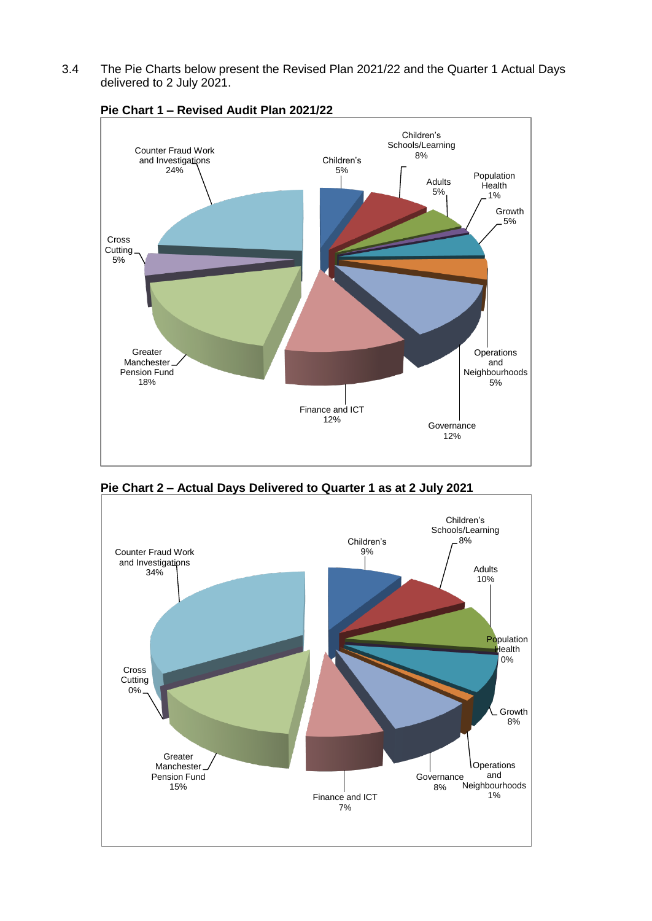3.4 The Pie Charts below present the Revised Plan 2021/22 and the Quarter 1 Actual Days delivered to 2 July 2021.



**Pie Chart 1 – Revised Audit Plan 2021/22**

**Pie Chart 2 – Actual Days Delivered to Quarter 1 as at 2 July 2021**

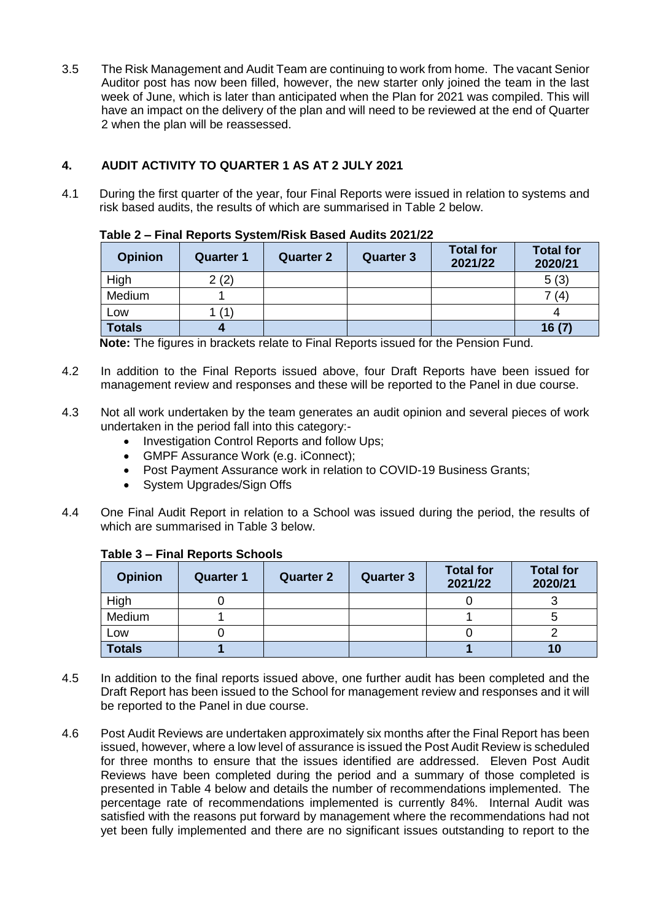3.5 The Risk Management and Audit Team are continuing to work from home. The vacant Senior Auditor post has now been filled, however, the new starter only joined the team in the last week of June, which is later than anticipated when the Plan for 2021 was compiled. This will have an impact on the delivery of the plan and will need to be reviewed at the end of Quarter 2 when the plan will be reassessed.

# **4. AUDIT ACTIVITY TO QUARTER 1 AS AT 2 JULY 2021**

4.1 During the first quarter of the year, four Final Reports were issued in relation to systems and risk based audits, the results of which are summarised in Table 2 below.

|  | Table 2 – Final Reports System/Risk Based Audits 2021/22 |
|--|----------------------------------------------------------|
|--|----------------------------------------------------------|

| <b>Opinion</b> | <b>Quarter 1</b> | <b>Quarter 2</b> | <b>Quarter 3</b> | <b>Total for</b><br>2021/22 | <b>Total for</b><br>2020/21 |
|----------------|------------------|------------------|------------------|-----------------------------|-----------------------------|
| High           | 2(2)             |                  |                  |                             | 5(3)                        |
| Medium         |                  |                  |                  |                             | 7 (4)                       |
| Low            | (1)              |                  |                  |                             |                             |
| <b>Totals</b>  |                  |                  |                  |                             | 16(7)                       |

**Note:** The figures in brackets relate to Final Reports issued for the Pension Fund.

- 4.2 In addition to the Final Reports issued above, four Draft Reports have been issued for management review and responses and these will be reported to the Panel in due course.
- 4.3 Not all work undertaken by the team generates an audit opinion and several pieces of work undertaken in the period fall into this category:-
	- Investigation Control Reports and follow Ups;
	- GMPF Assurance Work (e.g. iConnect);
	- Post Payment Assurance work in relation to COVID-19 Business Grants;
	- System Upgrades/Sign Offs
- 4.4 One Final Audit Report in relation to a School was issued during the period, the results of which are summarised in Table 3 below.

## **Table 3 – Final Reports Schools**

| <b>Opinion</b> | <b>Quarter 1</b> | <b>Quarter 2</b> | <b>Quarter 3</b> | <b>Total for</b><br>2021/22 | <b>Total for</b><br>2020/21 |
|----------------|------------------|------------------|------------------|-----------------------------|-----------------------------|
| High           |                  |                  |                  |                             |                             |
| Medium         |                  |                  |                  |                             |                             |
| Low            |                  |                  |                  |                             |                             |
| <b>Totals</b>  |                  |                  |                  |                             | 10                          |

- 4.5 In addition to the final reports issued above, one further audit has been completed and the Draft Report has been issued to the School for management review and responses and it will be reported to the Panel in due course.
- 4.6 Post Audit Reviews are undertaken approximately six months after the Final Report has been issued, however, where a low level of assurance is issued the Post Audit Review is scheduled for three months to ensure that the issues identified are addressed. Eleven Post Audit Reviews have been completed during the period and a summary of those completed is presented in Table 4 below and details the number of recommendations implemented. The percentage rate of recommendations implemented is currently 84%. Internal Audit was satisfied with the reasons put forward by management where the recommendations had not yet been fully implemented and there are no significant issues outstanding to report to the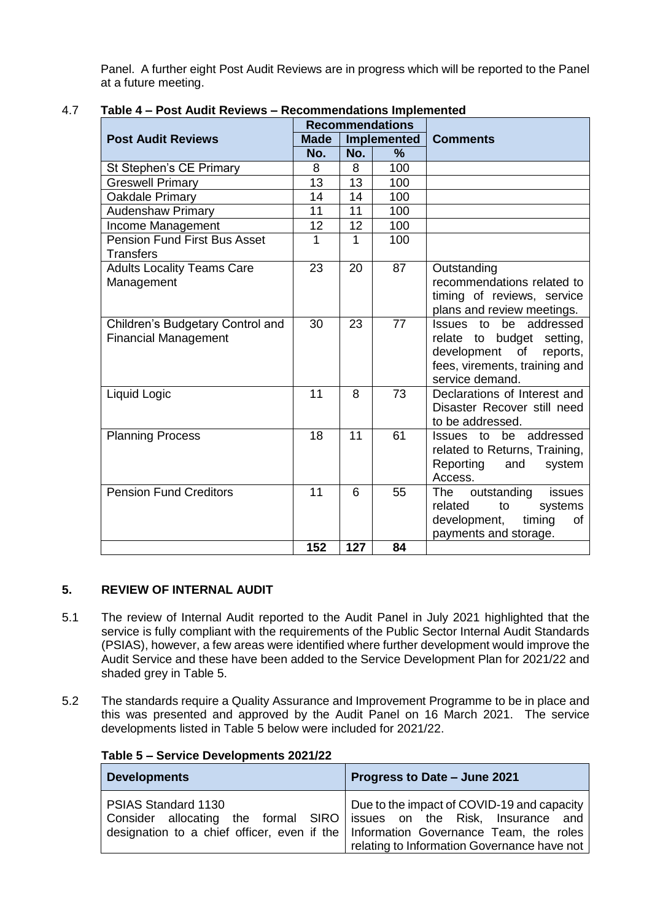Panel. A further eight Post Audit Reviews are in progress which will be reported to the Panel at a future meeting.

|                                                                 | <b>Recommendations</b> |                    |               |                                                                                                                                       |  |
|-----------------------------------------------------------------|------------------------|--------------------|---------------|---------------------------------------------------------------------------------------------------------------------------------------|--|
| <b>Post Audit Reviews</b>                                       | <b>Made</b>            | <b>Implemented</b> |               | <b>Comments</b>                                                                                                                       |  |
|                                                                 | No.                    | No.                | $\frac{9}{6}$ |                                                                                                                                       |  |
| St Stephen's CE Primary                                         | 8                      | 8                  | 100           |                                                                                                                                       |  |
| <b>Greswell Primary</b>                                         | 13                     | 13                 | 100           |                                                                                                                                       |  |
| Oakdale Primary                                                 | 14                     | 14                 | 100           |                                                                                                                                       |  |
| <b>Audenshaw Primary</b>                                        | 11                     | 11                 | 100           |                                                                                                                                       |  |
| Income Management                                               | 12                     | 12                 | 100           |                                                                                                                                       |  |
| <b>Pension Fund First Bus Asset</b><br><b>Transfers</b>         | 1                      | 1                  | 100           |                                                                                                                                       |  |
| <b>Adults Locality Teams Care</b><br>Management                 | 23                     | 20                 | 87            | Outstanding<br>recommendations related to<br>timing of reviews, service<br>plans and review meetings.                                 |  |
| Children's Budgetary Control and<br><b>Financial Management</b> | 30                     | 23                 | 77            | Issues to be addressed<br>relate to budget setting,<br>development of<br>reports,<br>fees, virements, training and<br>service demand. |  |
| Liquid Logic                                                    | 11                     | 8                  | 73            | Declarations of Interest and<br>Disaster Recover still need<br>to be addressed.                                                       |  |
| <b>Planning Process</b>                                         | 18                     | 11                 | 61            | Issues to be addressed<br>related to Returns, Training,<br>Reporting<br>and<br>system<br>Access.                                      |  |
| <b>Pension Fund Creditors</b>                                   | 11                     | 6                  | 55            | issues<br>The outstanding<br>related<br>to<br>systems<br>development,<br>timing<br>οf<br>payments and storage.                        |  |
|                                                                 | 152                    | 127                | 84            |                                                                                                                                       |  |

## 4.7 **Table 4 – Post Audit Reviews – Recommendations Implemented**

## **5. REVIEW OF INTERNAL AUDIT**

- 5.1 The review of Internal Audit reported to the Audit Panel in July 2021 highlighted that the service is fully compliant with the requirements of the Public Sector Internal Audit Standards (PSIAS), however, a few areas were identified where further development would improve the Audit Service and these have been added to the Service Development Plan for 2021/22 and shaded grey in Table 5.
- 5.2 The standards require a Quality Assurance and Improvement Programme to be in place and this was presented and approved by the Audit Panel on 16 March 2021. The service developments listed in Table 5 below were included for 2021/22.

| <b>Developments</b>                                                                          | Progress to Date - June 2021                                                                                                                                                      |  |  |
|----------------------------------------------------------------------------------------------|-----------------------------------------------------------------------------------------------------------------------------------------------------------------------------------|--|--|
| PSIAS Standard 1130<br>Consider allocating the formal SIRO issues on the Risk, Insurance and | Due to the impact of COVID-19 and capacity<br>designation to a chief officer, even if the   Information Governance Team, the roles<br>relating to Information Governance have not |  |  |

#### **Table 5 – Service Developments 2021/22**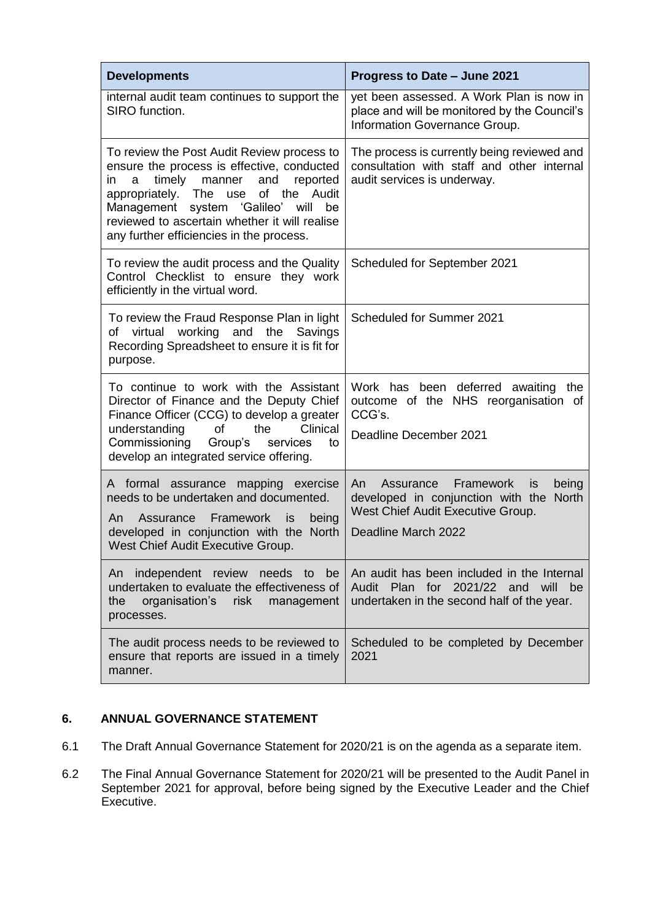| <b>Developments</b>                                                                                                                                                                                                                                                                                                   | Progress to Date - June 2021                                                                                                                                        |
|-----------------------------------------------------------------------------------------------------------------------------------------------------------------------------------------------------------------------------------------------------------------------------------------------------------------------|---------------------------------------------------------------------------------------------------------------------------------------------------------------------|
| internal audit team continues to support the<br>SIRO function.                                                                                                                                                                                                                                                        | yet been assessed. A Work Plan is now in<br>place and will be monitored by the Council's<br>Information Governance Group.                                           |
| To review the Post Audit Review process to<br>ensure the process is effective, conducted<br>timely manner<br>and<br>reported<br>in<br>a<br>appropriately. The use of the Audit<br>Management system 'Galileo'<br>will be<br>reviewed to ascertain whether it will realise<br>any further efficiencies in the process. | The process is currently being reviewed and<br>consultation with staff and other internal<br>audit services is underway.                                            |
| To review the audit process and the Quality<br>Control Checklist to ensure they work<br>efficiently in the virtual word.                                                                                                                                                                                              | Scheduled for September 2021                                                                                                                                        |
| To review the Fraud Response Plan in light<br>of virtual working and the Savings<br>Recording Spreadsheet to ensure it is fit for<br>purpose.                                                                                                                                                                         | Scheduled for Summer 2021                                                                                                                                           |
| To continue to work with the Assistant<br>Director of Finance and the Deputy Chief<br>Finance Officer (CCG) to develop a greater<br>understanding<br>of<br>the<br>Clinical<br>Commissioning<br>Group's<br>services<br>to<br>develop an integrated service offering.                                                   | Work has been deferred awaiting the<br>outcome of the NHS reorganisation of<br>CCG's.<br>Deadline December 2021                                                     |
| A formal assurance<br>mapping<br>exercise<br>needs to be undertaken and documented.<br>Framework<br>An<br>Assurance<br>is<br>being<br>developed in conjunction with the North<br>West Chief Audit Executive Group.                                                                                                    | Framework<br>being<br>An<br>Assurance<br><b>is</b><br>developed in conjunction with the<br><b>North</b><br>West Chief Audit Executive Group.<br>Deadline March 2022 |
| An<br>independent review needs to<br>be<br>undertaken to evaluate the effectiveness of<br>organisation's<br>risk<br>the<br>management<br>processes.                                                                                                                                                                   | An audit has been included in the Internal<br>2021/22 and will<br>Audit Plan for<br>be<br>undertaken in the second half of the year.                                |
| The audit process needs to be reviewed to<br>ensure that reports are issued in a timely<br>manner.                                                                                                                                                                                                                    | Scheduled to be completed by December<br>2021                                                                                                                       |

# **6. ANNUAL GOVERNANCE STATEMENT**

- 6.1 The Draft Annual Governance Statement for 2020/21 is on the agenda as a separate item.
- 6.2 The Final Annual Governance Statement for 2020/21 will be presented to the Audit Panel in September 2021 for approval, before being signed by the Executive Leader and the Chief Executive.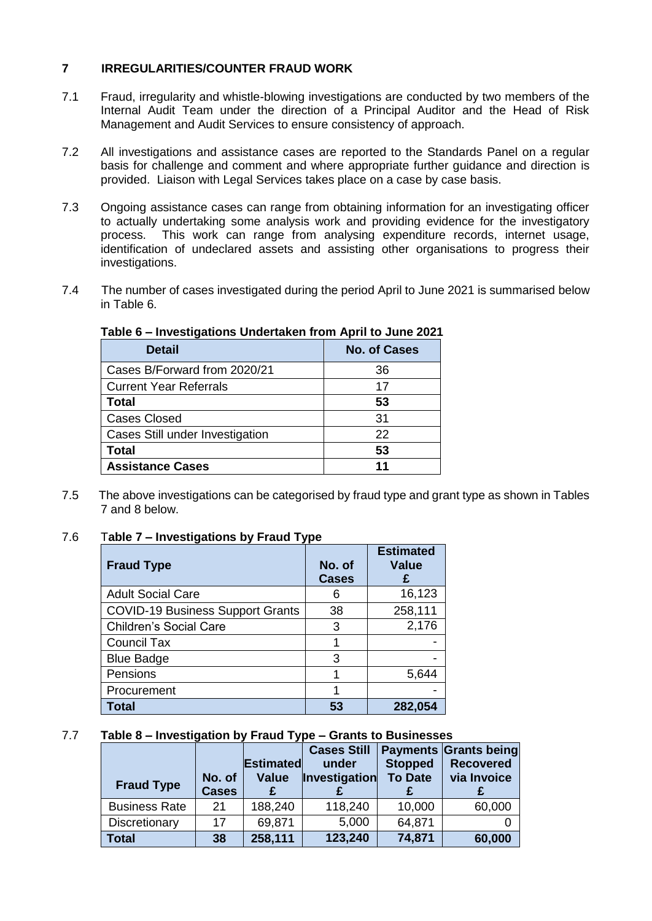# **7 IRREGULARITIES/COUNTER FRAUD WORK**

- 7.1 Fraud, irregularity and whistle-blowing investigations are conducted by two members of the Internal Audit Team under the direction of a Principal Auditor and the Head of Risk Management and Audit Services to ensure consistency of approach.
- 7.2 All investigations and assistance cases are reported to the Standards Panel on a regular basis for challenge and comment and where appropriate further guidance and direction is provided. Liaison with Legal Services takes place on a case by case basis.
- 7.3 Ongoing assistance cases can range from obtaining information for an investigating officer to actually undertaking some analysis work and providing evidence for the investigatory process. This work can range from analysing expenditure records, internet usage, identification of undeclared assets and assisting other organisations to progress their investigations.
- 7.4 The number of cases investigated during the period April to June 2021 is summarised below in Table 6.

| <b>Detail</b>                   | <b>No. of Cases</b> |
|---------------------------------|---------------------|
| Cases B/Forward from 2020/21    | 36                  |
| <b>Current Year Referrals</b>   | 17                  |
| <b>Total</b>                    | 53                  |
| <b>Cases Closed</b>             | 31                  |
| Cases Still under Investigation | 22                  |
| <b>Total</b>                    | 53                  |
| <b>Assistance Cases</b>         |                     |

## **Table 6 – Investigations Undertaken from April to June 2021**

7.5 The above investigations can be categorised by fraud type and grant type as shown in Tables 7 and 8 below.

## 7.6 T**able 7 – Investigations by Fraud Type**

| <b>Fraud Type</b>                       | No. of<br><b>Cases</b> | <b>Estimated</b><br><b>Value</b> |
|-----------------------------------------|------------------------|----------------------------------|
| <b>Adult Social Care</b>                | 6                      | 16,123                           |
| <b>COVID-19 Business Support Grants</b> | 38                     | 258,111                          |
| <b>Children's Social Care</b>           | 3                      | 2,176                            |
| Council Tax                             |                        |                                  |
| <b>Blue Badge</b>                       | 3                      |                                  |
| Pensions                                |                        | 5,644                            |
| Procurement                             |                        |                                  |
| <b>Total</b>                            | 53                     | 282,054                          |

## 7.7 **Table 8 – Investigation by Fraud Type – Grants to Businesses**

|                      |                        |                           | <b>Cases Still</b>     |                                  | <b>Payments Grants being</b>    |
|----------------------|------------------------|---------------------------|------------------------|----------------------------------|---------------------------------|
| <b>Fraud Type</b>    | No. of<br><b>Cases</b> | Estimated<br><b>Value</b> | under<br>Investigation | <b>Stopped</b><br><b>To Date</b> | <b>Recovered</b><br>via Invoice |
| <b>Business Rate</b> | 21                     | 188,240                   | 118,240                | 10,000                           | 60,000                          |
| Discretionary        | 17                     | 69,871                    | 5,000                  | 64,871                           |                                 |
| <b>Total</b>         | 38                     | 258,111                   | 123,240                | 74,871                           | 60,000                          |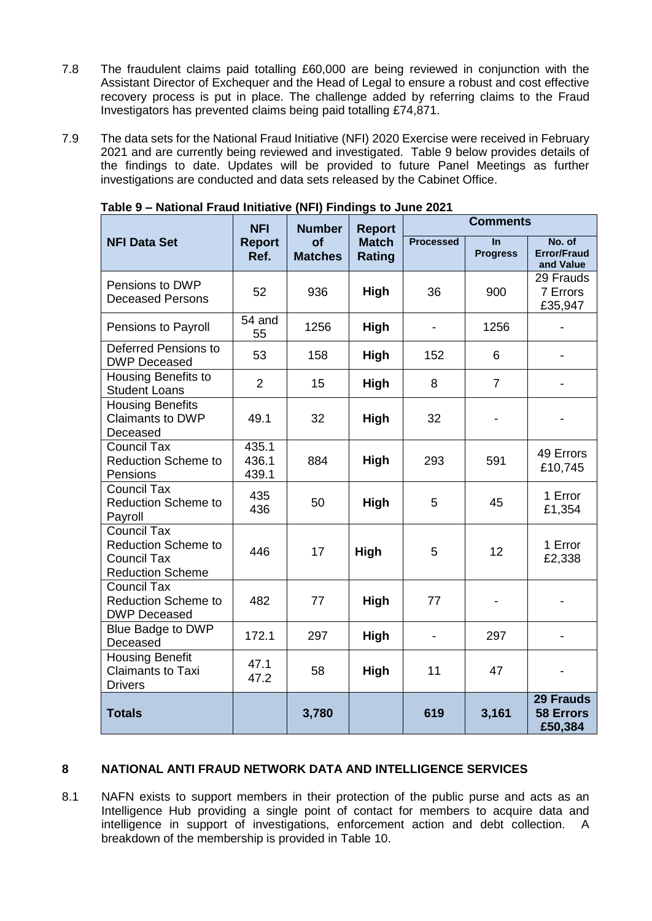- 7.8 The fraudulent claims paid totalling £60,000 are being reviewed in conjunction with the Assistant Director of Exchequer and the Head of Legal to ensure a robust and cost effective recovery process is put in place. The challenge added by referring claims to the Fraud Investigators has prevented claims being paid totalling £74,871.
- 7.9 The data sets for the National Fraud Initiative (NFI) 2020 Exercise were received in February 2021 and are currently being reviewed and investigated. Table 9 below provides details of the findings to date. Updates will be provided to future Panel Meetings as further investigations are conducted and data sets released by the Cabinet Office.

|                                                                                            | <b>NFI</b>                                           | <b>Number</b> | <b>Report</b>                 | <b>Comments</b>  |                              |                                                 |  |
|--------------------------------------------------------------------------------------------|------------------------------------------------------|---------------|-------------------------------|------------------|------------------------------|-------------------------------------------------|--|
| <b>NFI Data Set</b>                                                                        | <b>of</b><br><b>Report</b><br>Ref.<br><b>Matches</b> |               | <b>Match</b><br><b>Rating</b> | <b>Processed</b> | <b>In</b><br><b>Progress</b> | No. of<br><b>Error/Fraud</b><br>and Value       |  |
| Pensions to DWP<br><b>Deceased Persons</b>                                                 | 52                                                   | 936           | High                          | 36               | 900                          | 29 Frauds<br>7 Errors<br>£35,947                |  |
| Pensions to Payroll                                                                        | $54$ and<br>55                                       | 1256          | <b>High</b>                   |                  | 1256                         |                                                 |  |
| Deferred Pensions to<br><b>DWP Deceased</b>                                                | 53                                                   | 158           | High                          | 152              | 6                            |                                                 |  |
| <b>Housing Benefits to</b><br><b>Student Loans</b>                                         | $\overline{2}$                                       | 15            | <b>High</b>                   | 8                | $\overline{7}$               |                                                 |  |
| <b>Housing Benefits</b><br><b>Claimants to DWP</b><br>Deceased                             | 49.1                                                 | 32            | <b>High</b>                   | 32               |                              |                                                 |  |
| <b>Council Tax</b><br><b>Reduction Scheme to</b><br>Pensions                               | 435.1<br>436.1<br>439.1                              | 884           | High                          | 293              | 591                          | 49 Errors<br>£10,745                            |  |
| <b>Council Tax</b><br><b>Reduction Scheme to</b><br>Payroll                                | 435<br>436                                           | 50            | High                          | 5                | 45                           | 1 Error<br>£1,354                               |  |
| Council Tax<br><b>Reduction Scheme to</b><br><b>Council Tax</b><br><b>Reduction Scheme</b> | 446                                                  | 17            | High                          | 5                | 12                           | 1 Error<br>£2,338                               |  |
| <b>Council Tax</b><br><b>Reduction Scheme to</b><br><b>DWP Deceased</b>                    | 482                                                  | 77            | High                          | 77               |                              |                                                 |  |
| <b>Blue Badge to DWP</b><br>Deceased                                                       | 172.1                                                | 297           | High                          |                  | 297                          | $\overline{\phantom{0}}$                        |  |
| <b>Housing Benefit</b><br><b>Claimants to Taxi</b><br><b>Drivers</b>                       | 47.1<br>47.2                                         | 58            | <b>High</b>                   | 11               | 47                           |                                                 |  |
| <b>Totals</b>                                                                              |                                                      | 3,780         |                               | 619              | 3,161                        | <b>29 Frauds</b><br><b>58 Errors</b><br>£50,384 |  |

**Table 9 – National Fraud Initiative (NFI) Findings to June 2021**

# **8 NATIONAL ANTI FRAUD NETWORK DATA AND INTELLIGENCE SERVICES**

8.1 NAFN exists to support members in their protection of the public purse and acts as an Intelligence Hub providing a single point of contact for members to acquire data and intelligence in support of investigations, enforcement action and debt collection. A breakdown of the membership is provided in Table 10.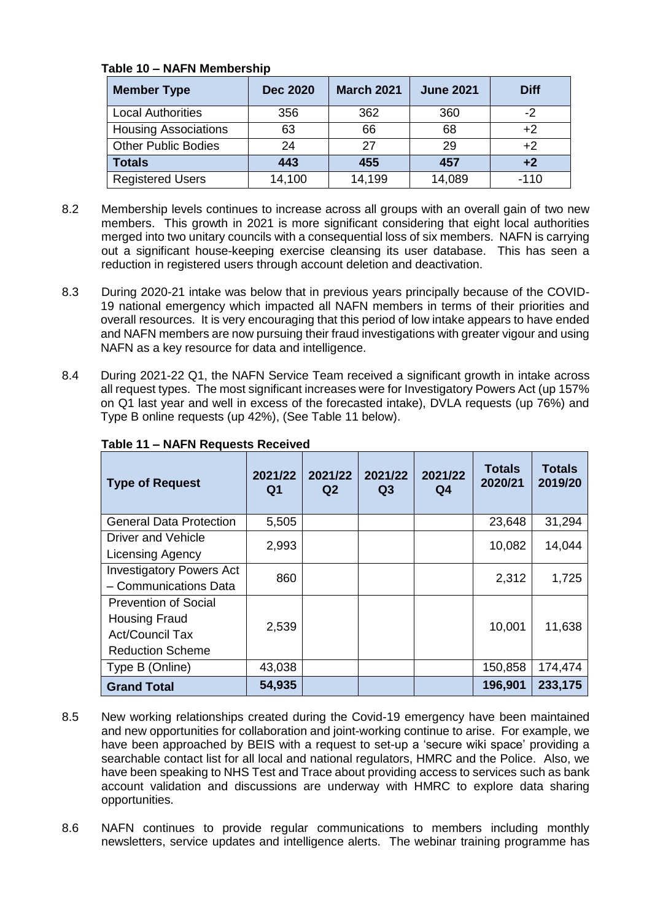| Table 10 – NAFN Membership  |                 |                   |                  |             |  |  |  |
|-----------------------------|-----------------|-------------------|------------------|-------------|--|--|--|
| <b>Member Type</b>          | <b>Dec 2020</b> | <b>March 2021</b> | <b>June 2021</b> | <b>Diff</b> |  |  |  |
| <b>Local Authorities</b>    | 356             | 362               | 360              | $-2$        |  |  |  |
| <b>Housing Associations</b> | 63              | 66                | 68               | +2          |  |  |  |
| <b>Other Public Bodies</b>  | 24              |                   | 29               |             |  |  |  |

# **Table 10 – NAFN Membership**

8.2 Membership levels continues to increase across all groups with an overall gain of two new members. This growth in 2021 is more significant considering that eight local authorities merged into two unitary councils with a consequential loss of six members. NAFN is carrying out a significant house-keeping exercise cleansing its user database. This has seen a reduction in registered users through account deletion and deactivation.

**Totals 443 455 457 +2** Registered Users 14,100 14,199 14,089 -110

- 8.3 During 2020-21 intake was below that in previous years principally because of the COVID-19 national emergency which impacted all NAFN members in terms of their priorities and overall resources. It is very encouraging that this period of low intake appears to have ended and NAFN members are now pursuing their fraud investigations with greater vigour and using NAFN as a key resource for data and intelligence.
- 8.4 During 2021-22 Q1, the NAFN Service Team received a significant growth in intake across all request types. The most significant increases were for Investigatory Powers Act (up 157% on Q1 last year and well in excess of the forecasted intake), DVLA requests (up 76%) and Type B online requests (up 42%), (See Table 11 below).

| <b>Type of Request</b>          | 2021/22<br>Q1 | 2021/22<br>Q <sub>2</sub> | 2021/22<br>Q3 | 2021/22<br>Q4 | <b>Totals</b><br>2020/21 | <b>Totals</b><br>2019/20 |
|---------------------------------|---------------|---------------------------|---------------|---------------|--------------------------|--------------------------|
| <b>General Data Protection</b>  | 5,505         |                           |               |               | 23,648                   | 31,294                   |
| Driver and Vehicle              | 2,993         |                           |               |               | 10,082                   | 14,044                   |
| <b>Licensing Agency</b>         |               |                           |               |               |                          |                          |
| <b>Investigatory Powers Act</b> | 860           |                           |               |               | 2,312                    | 1,725                    |
| - Communications Data           |               |                           |               |               |                          |                          |
| <b>Prevention of Social</b>     |               |                           |               |               |                          |                          |
| <b>Housing Fraud</b>            | 2,539         |                           |               |               | 10,001                   | 11,638                   |
| <b>Act/Council Tax</b>          |               |                           |               |               |                          |                          |
| <b>Reduction Scheme</b>         |               |                           |               |               |                          |                          |
| Type B (Online)                 | 43,038        |                           |               |               | 150,858                  | 174,474                  |
| <b>Grand Total</b>              | 54,935        |                           |               |               | 196,901                  | 233,175                  |

# **Table 11 – NAFN Requests Received**

- 8.5 New working relationships created during the Covid-19 emergency have been maintained and new opportunities for collaboration and joint-working continue to arise. For example, we have been approached by BEIS with a request to set-up a 'secure wiki space' providing a searchable contact list for all local and national regulators, HMRC and the Police. Also, we have been speaking to NHS Test and Trace about providing access to services such as bank account validation and discussions are underway with HMRC to explore data sharing opportunities.
- 8.6 NAFN continues to provide regular communications to members including monthly newsletters, service updates and intelligence alerts. The webinar training programme has